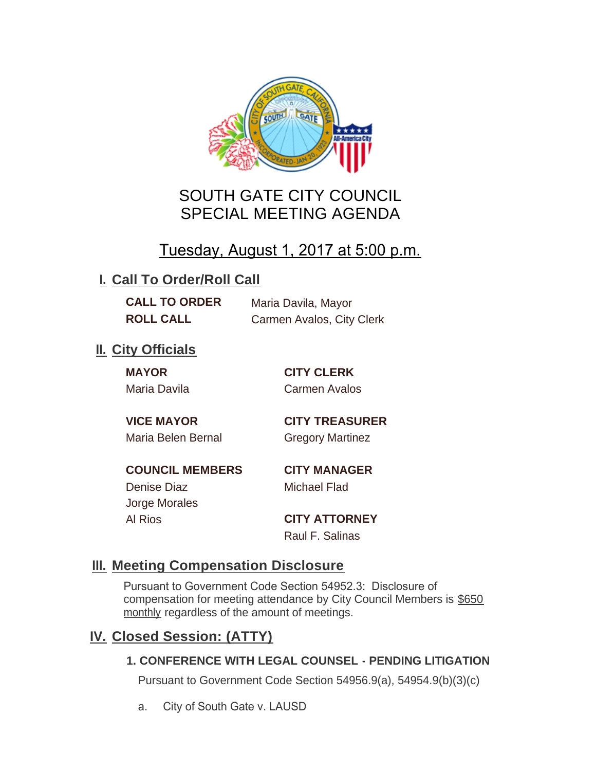

## SOUTH GATE CITY COUNCIL SPECIAL MEETING AGENDA

# Tuesday, August 1, 2017 at 5:00 p.m.

## **I. Call To Order/Roll Call**

**CALL TO ORDER** Maria Davila, Mayor **ROLL CALL** Carmen Avalos, City Clerk

## **II.** City Officials

**MAYOR CITY CLERK** Maria Davila Carmen Avalos

Maria Belen Bernal **Gregory Martinez** 

**VICE MAYOR CITY TREASURER**

**COUNCIL MEMBERS CITY MANAGER** Denise Diaz Michael Flad

Jorge Morales

Al Rios **CITY ATTORNEY** Raul F. Salinas

### **Meeting Compensation Disclosure III.**

Pursuant to Government Code Section 54952.3: Disclosure of compensation for meeting attendance by City Council Members is \$650 monthly regardless of the amount of meetings.

### **Closed Session: (ATTY) IV.**

#### **1. CONFERENCE WITH LEGAL COUNSEL - PENDING LITIGATION**

Pursuant to Government Code Section 54956.9(a), 54954.9(b)(3)(c)

a. City of South Gate v. LAUSD